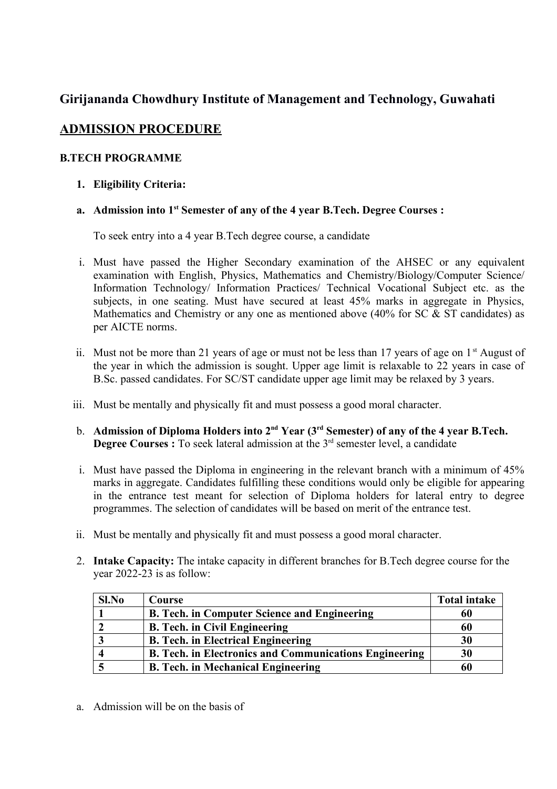# **Girijananda Chowdhury Institute of Management and Technology, Guwahati**

# **ADMISSION PROCEDURE**

## **B.TECH PROGRAMME**

**1. Eligibility Criteria:**

## **a. Admission into 1st Semester of any of the 4 year B.Tech. Degree Courses :**

To seek entry into a 4 year B.Tech degree course, a candidate

- i. Must have passed the Higher Secondary examination of the AHSEC or any equivalent examination with English, Physics, Mathematics and Chemistry/Biology/Computer Science/ Information Technology/ Information Practices/ Technical Vocational Subject etc. as the subjects, in one seating. Must have secured at least 45% marks in aggregate in Physics, Mathematics and Chemistry or any one as mentioned above (40% for SC & ST candidates) as per AICTE norms.
- ii. Must not be more than 21 years of age or must not be less than 17 years of age on  $1<sup>st</sup>$  August of the year in which the admission is sought. Upper age limit is relaxable to 22 years in case of B.Sc. passed candidates. For SC/ST candidate upper age limit may be relaxed by 3 years.
- iii. Must be mentally and physically fit and must possess a good moral character.
- b. **Admission of Diploma Holders into 2nd Year (3rd Semester) of any of the 4 year B.Tech. Degree Courses :** To seek lateral admission at the 3<sup>rd</sup> semester level, a candidate
- i. Must have passed the Diploma in engineering in the relevant branch with a minimum of 45% marks in aggregate. Candidates fulfilling these conditions would only be eligible for appearing in the entrance test meant for selection of Diploma holders for lateral entry to degree programmes. The selection of candidates will be based on merit of the entrance test.
- ii. Must be mentally and physically fit and must possess a good moral character.
- 2. **Intake Capacity:** The intake capacity in different branches for B.Tech degree course for the year 2022-23 is as follow:

| Sl.No | Course                                                        | <b>Total intake</b> |
|-------|---------------------------------------------------------------|---------------------|
|       | <b>B. Tech. in Computer Science and Engineering</b>           | 60                  |
|       | <b>B. Tech. in Civil Engineering</b>                          | 60                  |
|       | <b>B. Tech. in Electrical Engineering</b>                     | 30                  |
|       | <b>B. Tech. in Electronics and Communications Engineering</b> | 30                  |
|       | <b>B. Tech. in Mechanical Engineering</b>                     | 60                  |

a. Admission will be on the basis of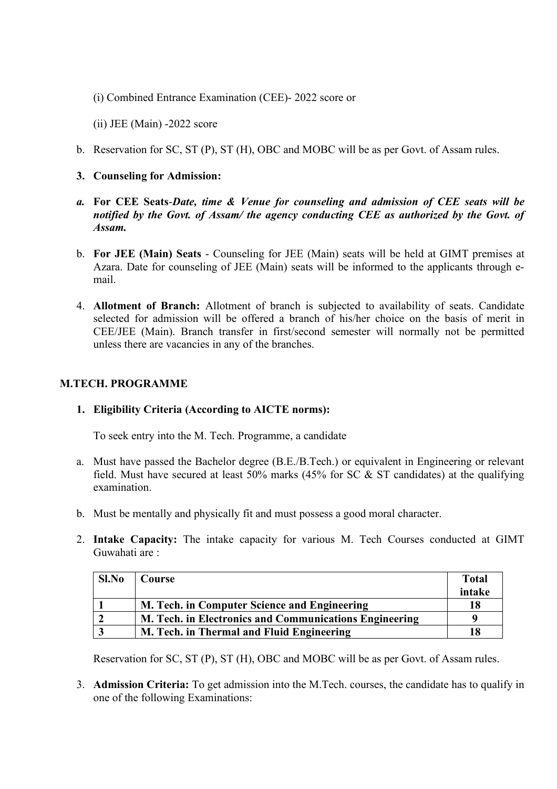(i) Combined Entrance Examination (CEE)- 2022 score or

(ii) JEE (Main) -2022 score

b. Reservation for SC, ST (P), ST (H), OBC and MOBC will be as per Govt. of Assam rules.

#### **3. Counseling for Admission:**

- *a.* **For CEE Seats**-*Date, time & Venue for counseling and admission of CEE seats will be notified by the Govt. of Assam/ the agency conducting CEE as authorized by the Govt. of Assam.*
- b. **For JEE (Main) Seats** Counseling for JEE (Main) seats will be held at GIMT premises at Azara. Date for counseling of JEE (Main) seats will be informed to the applicants through email.
- 4. **Allotment of Branch:** Allotment of branch is subjected to availability of seats. Candidate selected for admission will be offered a branch of his/her choice on the basis of merit in CEE/JEE (Main). Branch transfer in first/second semester will normally not be permitted unless there are vacancies in any of the branches.

## **M.TECH. PROGRAMME**

## **1. Eligibility Criteria (According to AICTE norms):**

To seek entry into the M. Tech. Programme, a candidate

- a. Must have passed the Bachelor degree (B.E./B.Tech.) or equivalent in Engineering or relevant field. Must have secured at least 50% marks (45% for SC  $\&$  ST candidates) at the qualifying examination.
- b. Must be mentally and physically fit and must possess a good moral character.
- 2. **Intake Capacity:** The intake capacity for various M. Tech Courses conducted at GIMT Guwahati are :

| Sl.No | Course                                                 | <b>Total</b> |
|-------|--------------------------------------------------------|--------------|
|       |                                                        | intake       |
|       | M. Tech. in Computer Science and Engineering           | 18           |
|       | M. Tech. in Electronics and Communications Engineering | a            |
|       | M. Tech. in Thermal and Fluid Engineering              |              |

Reservation for SC, ST (P), ST (H), OBC and MOBC will be as per Govt. of Assam rules.

3. **Admission Criteria:** To get admission into the M.Tech. courses, the candidate has to qualify in one of the following Examinations: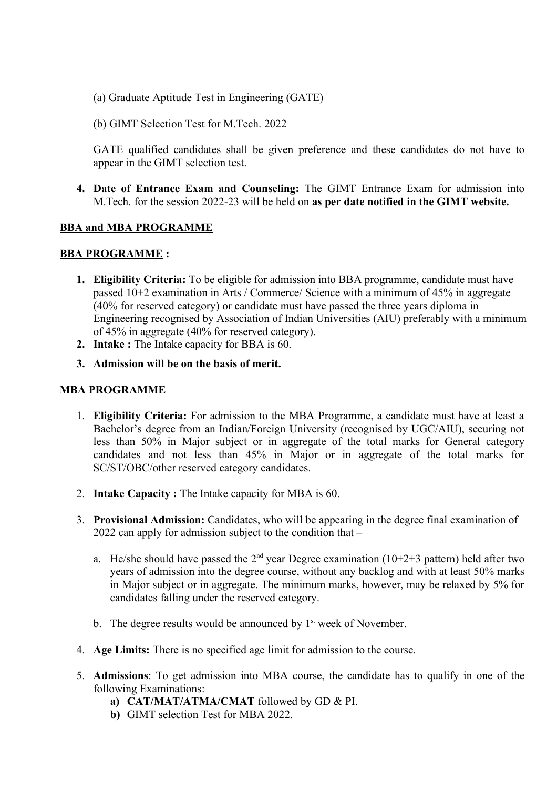- (a) Graduate Aptitude Test in Engineering (GATE)
- (b) GIMT Selection Test for M.Tech. 2022

GATE qualified candidates shall be given preference and these candidates do not have to appear in the GIMT selection test.

**4. Date of Entrance Exam and Counseling:** The GIMT Entrance Exam for admission into M.Tech. for the session 2022-23 will be held on **as per date notified in the GIMT website.**

## **BBA and MBA PROGRAMME**

#### **BBA PROGRAMME :**

- **1. Eligibility Criteria:** To be eligible for admission into BBA programme, candidate must have passed 10+2 examination in Arts / Commerce/ Science with a minimum of 45% in aggregate (40% for reserved category) or candidate must have passed the three years diploma in Engineering recognised by Association of Indian Universities (AIU) preferably with a minimum of 45% in aggregate (40% for reserved category).
- **2. Intake :** The Intake capacity for BBA is 60.
- **3. Admission will be on the basis of merit.**

### **MBA PROGRAMME**

- 1. **Eligibility Criteria:** For admission to the MBA Programme, a candidate must have at least a Bachelor's degree from an Indian/Foreign University (recognised by UGC/AIU), securing not less than 50% in Major subject or in aggregate of the total marks for General category candidates and not less than 45% in Major or in aggregate of the total marks for SC/ST/OBC/other reserved category candidates.
- 2. **Intake Capacity :** The Intake capacity for MBA is 60.
- 3. **Provisional Admission:** Candidates, who will be appearing in the degree final examination of 2022 can apply for admission subject to the condition that –
	- a. He/she should have passed the  $2<sup>nd</sup>$  year Degree examination (10+2+3 pattern) held after two years of admission into the degree course, without any backlog and with at least 50% marks in Major subject or in aggregate. The minimum marks, however, may be relaxed by 5% for candidates falling under the reserved category.
	- b. The degree results would be announced by  $1<sup>st</sup>$  week of November.
- 4. **Age Limits:** There is no specified age limit for admission to the course.
- 5. **Admissions**: To get admission into MBA course, the candidate has to qualify in one of the following Examinations:
	- **a) CAT/MAT/ATMA/CMAT** followed by GD & PI.
	- **b)** GIMT selection Test for MBA 2022.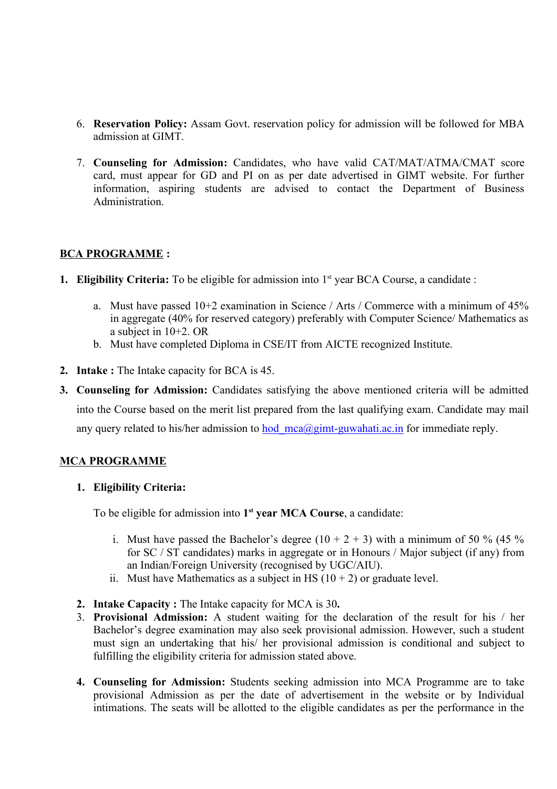- 6. **Reservation Policy:** Assam Govt. reservation policy for admission will be followed for MBA admission at GIMT.
- 7. **Counseling for Admission:** Candidates, who have valid CAT/MAT/ATMA/CMAT score card, must appear for GD and PI on as per date advertised in GIMT website. For further information, aspiring students are advised to contact the Department of Business Administration.

## **BCA PROGRAMME :**

- **1. Eligibility Criteria:** To be eligible for admission into 1<sup>st</sup> year BCA Course, a candidate :
	- a. Must have passed 10+2 examination in Science / Arts / Commerce with a minimum of 45% in aggregate (40% for reserved category) preferably with Computer Science/ Mathematics as a subject in 10+2. OR
	- b. Must have completed Diploma in CSE/IT from AICTE recognized Institute.
- **2. Intake :** The Intake capacity for BCA is 45.
- **3. Counseling for Admission:** Candidates satisfying the above mentioned criteria will be admitted into the Course based on the merit list prepared from the last qualifying exam. Candidate may mail any query related to his/her admission to hod  $mea(\partial gimt-guwahati.ac.in$  for immediate reply.

## **MCA PROGRAMME**

#### **1. Eligibility Criteria:**

To be eligible for admission into **1 st year MCA Course**, a candidate:

- i. Must have passed the Bachelor's degree  $(10 + 2 + 3)$  with a minimum of 50 % (45 %) for SC / ST candidates) marks in aggregate or in Honours / Major subject (if any) from an Indian/Foreign University (recognised by UGC/AIU).
- ii. Must have Mathematics as a subject in HS  $(10 + 2)$  or graduate level.
- **2. Intake Capacity :** The Intake capacity for MCA is 30**.**
- 3. **Provisional Admission:** A student waiting for the declaration of the result for his / her Bachelor's degree examination may also seek provisional admission. However, such a student must sign an undertaking that his/ her provisional admission is conditional and subject to fulfilling the eligibility criteria for admission stated above.
- **4. Counseling for Admission:** Students seeking admission into MCA Programme are to take provisional Admission as per the date of advertisement in the website or by Individual intimations. The seats will be allotted to the eligible candidates as per the performance in the